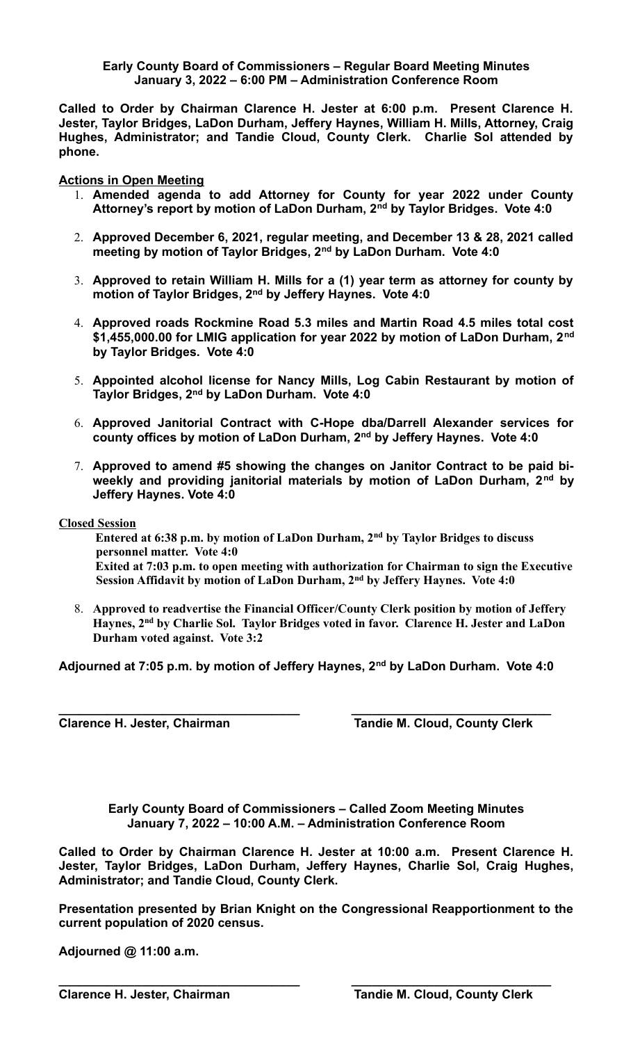## **Early County Board of Commissioners – Regular Board Meeting Minutes January 3, 2022 – 6:00 PM – Administration Conference Room**

**Called to Order by Chairman Clarence H. Jester at 6:00 p.m. Present Clarence H. Jester, Taylor Bridges, LaDon Durham, Jeffery Haynes, William H. Mills, Attorney, Craig Hughes, Administrator; and Tandie Cloud, County Clerk. Charlie Sol attended by phone.**

**Actions in Open Meeting**

- 1. **Amended agenda to add Attorney for County for year 2022 under County Attorney's report by motion of LaDon Durham, 2nd by Taylor Bridges. Vote 4:0**
- 2. **Approved December 6, 2021, regular meeting, and December 13 & 28, 2021 called meeting by motion of Taylor Bridges, 2nd by LaDon Durham. Vote 4:0**
- 3. **Approved to retain William H. Mills for a (1) year term as attorney for county by motion of Taylor Bridges, 2nd by Jeffery Haynes. Vote 4:0**
- 4. **Approved roads Rockmine Road 5.3 miles and Martin Road 4.5 miles total cost \$1,455,000.00 for LMIG application for year 2022 by motion of LaDon Durham, 2nd by Taylor Bridges. Vote 4:0**
- 5. **Appointed alcohol license for Nancy Mills, Log Cabin Restaurant by motion of Taylor Bridges, 2nd by LaDon Durham. Vote 4:0**
- 6. **Approved Janitorial Contract with C-Hope dba/Darrell Alexander services for county offices by motion of LaDon Durham, 2nd by Jeffery Haynes. Vote 4:0**
- 7. **Approved to amend #5 showing the changes on Janitor Contract to be paid biweekly and providing janitorial materials by motion of LaDon Durham, 2nd by Jeffery Haynes. Vote 4:0**

**Closed Session**

**Entered at 6:38 p.m. by motion of LaDon Durham, 2nd by Taylor Bridges to discuss personnel matter. Vote 4:0 Exited at 7:03 p.m. to open meeting with authorization for Chairman to sign the Executive Session Affidavit by motion of LaDon Durham, 2nd by Jeffery Haynes. Vote 4:0**

8. **Approved to readvertise the Financial Officer/County Clerk position by motion of Jeffery Haynes, 2nd by Charlie Sol. Taylor Bridges voted in favor. Clarence H. Jester and LaDon Durham voted against. Vote 3:2**

**Adjourned at 7:05 p.m. by motion of Jeffery Haynes, 2nd by LaDon Durham. Vote 4:0**

**\_\_\_\_\_\_\_\_\_\_\_\_\_\_\_\_\_\_\_\_\_\_\_\_\_\_\_\_\_\_\_\_\_\_\_ \_\_\_\_\_\_\_\_\_\_\_\_\_\_\_\_\_\_\_\_\_\_\_\_\_\_\_\_\_ Clarence H. Jester, Chairman Tandie M. Cloud, County Clerk** 

> **Early County Board of Commissioners – Called Zoom Meeting Minutes January 7, 2022 – 10:00 A.M. – Administration Conference Room**

**Called to Order by Chairman Clarence H. Jester at 10:00 a.m. Present Clarence H. Jester, Taylor Bridges, LaDon Durham, Jeffery Haynes, Charlie Sol, Craig Hughes, Administrator; and Tandie Cloud, County Clerk.** 

**Presentation presented by Brian Knight on the Congressional Reapportionment to the current population of 2020 census.**

**\_\_\_\_\_\_\_\_\_\_\_\_\_\_\_\_\_\_\_\_\_\_\_\_\_\_\_\_\_\_\_\_\_\_\_ \_\_\_\_\_\_\_\_\_\_\_\_\_\_\_\_\_\_\_\_\_\_\_\_\_\_\_\_\_**

**Adjourned @ 11:00 a.m.**